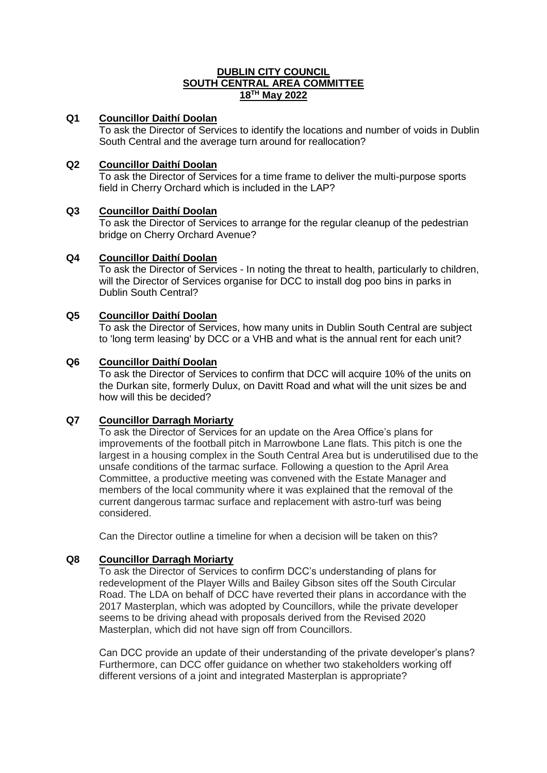### **DUBLIN CITY COUNCIL SOUTH CENTRAL AREA COMMITTEE 18TH May 2022**

# **Q1 Councillor Daithí Doolan**

To ask the Director of Services to identify the locations and number of voids in Dublin South Central and the average turn around for reallocation?

# **Q2 Councillor Daithí Doolan**

To ask the Director of Services for a time frame to deliver the multi-purpose sports field in Cherry Orchard which is included in the LAP?

### **Q3 Councillor Daithí Doolan**

To ask the Director of Services to arrange for the regular cleanup of the pedestrian bridge on Cherry Orchard Avenue?

### **Q4 Councillor Daithí Doolan**

To ask the Director of Services - In noting the threat to health, particularly to children, will the Director of Services organise for DCC to install dog poo bins in parks in Dublin South Central?

#### **Q5 Councillor Daithí Doolan**

To ask the Director of Services, how many units in Dublin South Central are subject to 'long term leasing' by DCC or a VHB and what is the annual rent for each unit?

#### **Q6 Councillor Daithí Doolan**

To ask the Director of Services to confirm that DCC will acquire 10% of the units on the Durkan site, formerly Dulux, on Davitt Road and what will the unit sizes be and how will this be decided?

### **Q7 Councillor Darragh Moriarty**

To ask the Director of Services for an update on the Area Office's plans for improvements of the football pitch in Marrowbone Lane flats. This pitch is one the largest in a housing complex in the South Central Area but is underutilised due to the unsafe conditions of the tarmac surface. Following a question to the April Area Committee, a productive meeting was convened with the Estate Manager and members of the local community where it was explained that the removal of the current dangerous tarmac surface and replacement with astro-turf was being considered.

Can the Director outline a timeline for when a decision will be taken on this?

### **Q8 Councillor Darragh Moriarty**

To ask the Director of Services to confirm DCC's understanding of plans for redevelopment of the Player Wills and Bailey Gibson sites off the South Circular Road. The LDA on behalf of DCC have reverted their plans in accordance with the 2017 Masterplan, which was adopted by Councillors, while the private developer seems to be driving ahead with proposals derived from the Revised 2020 Masterplan, which did not have sign off from Councillors.

Can DCC provide an update of their understanding of the private developer's plans? Furthermore, can DCC offer guidance on whether two stakeholders working off different versions of a joint and integrated Masterplan is appropriate?